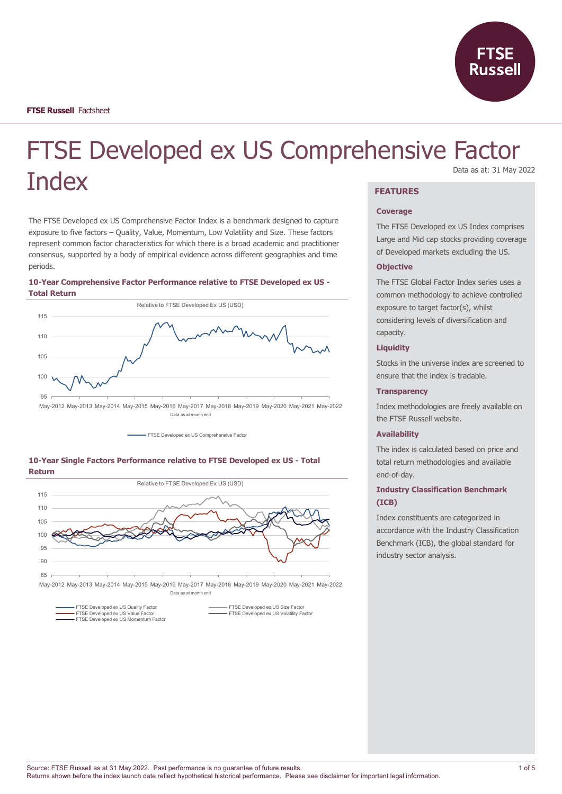

# FTSE Developed ex US Comprehensive Factor **Index** Data as at: 31 May 2022

The FTSE Developed ex US Comprehensive Factor Index is a benchmark designed to capture exposure to five factors – Quality, Value, Momentum, Low Volatility and Size. These factors represent common factor characteristics for which there is a broad academic and practitioner consensus, supported by a body of empirical evidence across different geographies and time periods.

# **10-Year Comprehensive Factor Performance relative to FTSE Developed ex US - Total Return**



May-2012 May-2013 May-2014 May-2015 May-2016 May-2017 May-2018 May-2019 May-2020 May-2021 May-2022 Data as at month end

- FTSE Developed ex US Comprehensive Factor





May-2012 May-2013 May-2014 May-2015 May-2016 May-2017 May-2018 May-2019 May-2020 May-2021 May-2022 Data as at month end

FTSE Developed ex US Momentum Factor

FTSE Developed ex US Quality Factor FTSE Developed ex US Size Factor FTSE Developed ex US Size Factor<br>
FTSE Developed ex US Volatility Factor

# **FEATURES**

#### **Coverage**

The FTSE Developed ex US Index comprises Large and Mid cap stocks providing coverage of Developed markets excluding the US.

### **Objective**

The FTSE Global Factor Index series uses a common methodology to achieve controlled exposure to target factor(s), whilst considering levels of diversification and capacity.

## **Liquidity**

Stocks in the universe index are screened to ensure that the index is tradable.

#### **Transparency**

Index methodologies are freely available on the FTSE Russell website.

## **Availability**

The index is calculated based on price and total return methodologies and available end-of-day.

# **Industry Classification Benchmark (ICB)**

Index constituents are categorized in accordance with the Industry Classification Benchmark (ICB), the global standard for industry sector analysis.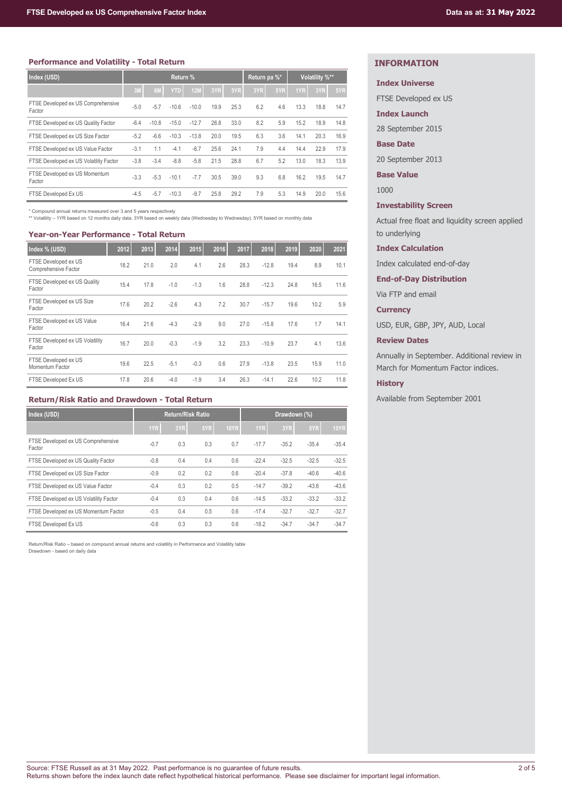### **Performance and Volatility - Total Return**

| Index (USD)                                  | Return % |         |            | Return pa %* |      | Volatility %** |     |     |      |      |      |
|----------------------------------------------|----------|---------|------------|--------------|------|----------------|-----|-----|------|------|------|
|                                              | 3M       | 6M      | <b>YTD</b> | <b>12M</b>   | 3YR  | 5YR            | 3YR | 5YR | 1YR  | 3YR  | 5YR  |
| FTSE Developed ex US Comprehensive<br>Factor | $-5.0$   | $-5.7$  | $-10.6$    | $-10.0$      | 19.9 | 25.3           | 6.2 | 4.6 | 13.3 | 18.8 | 14.7 |
| FTSE Developed ex US Quality Factor          | -6.4     | $-10.8$ | $-15.0$    | $-12.7$      | 26.8 | 33.0           | 8.2 | 5.9 | 15.2 | 18.9 | 14.8 |
| FTSE Developed ex US Size Factor             | $-5.2$   | $-6.6$  | $-10.3$    | $-13.8$      | 20.0 | 19.5           | 6.3 | 3.6 | 14.1 | 20.3 | 16.9 |
| FTSE Developed ex US Value Factor            | $-3.1$   | 1.1     | $-4.1$     | $-6.7$       | 25.6 | 24.1           | 7.9 | 4.4 | 14.4 | 22.9 | 17.9 |
| FTSE Developed ex US Volatility Factor       | $-3.8$   | $-3.4$  | $-8.8$     | $-5.8$       | 21.5 | 28.8           | 6.7 | 5.2 | 13.0 | 18.3 | 13.9 |
| FTSE Developed ex US Momentum<br>Factor      | $-3.3$   | $-5.3$  | $-10.1$    | $-7.7$       | 30.5 | 39.0           | 9.3 | 6.8 | 16.2 | 19.5 | 14.7 |
| FTSE Developed Ex US                         | $-4.5$   | $-5.7$  | $-10.3$    | $-9.7$       | 25.8 | 29.2           | 7.9 | 5.3 | 14.9 | 20.0 | 15.6 |

\* Compound annual returns measured over 3 and 5 years respectively \*\* Volatility – 1YR based on 12 months daily data. 3YR based on weekly data (Wednesday to Wednesday). 5YR based on monthly data

#### **Year-on-Year Performance - Total Return**

| Index % (USD)                                | 2012 | 2013 | 2014   | 2015   | 2016 | 2017 | 2018    | 2019 | 2020 | 2021 |
|----------------------------------------------|------|------|--------|--------|------|------|---------|------|------|------|
| FTSE Developed ex US<br>Comprehensive Factor | 18.2 | 21.0 | 2.0    | 4.1    | 2.6  | 28.3 | $-12.8$ | 19.4 | 8.9  | 10.1 |
| FTSE Developed ex US Quality<br>Factor       | 15.4 | 17.8 | $-1.0$ | $-1.3$ | 1.6  | 28.8 | $-12.3$ | 24.8 | 16.5 | 11.6 |
| FTSE Developed ex US Size<br>Factor          | 17.6 | 20.2 | $-2.6$ | 4.3    | 7.2  | 30.7 | $-15.7$ | 19.6 | 10.2 | 5.9  |
| FTSE Developed ex US Value<br>Factor         | 16.4 | 21.6 | $-4.3$ | $-2.9$ | 9.0  | 27.0 | $-15.8$ | 17.6 | 1.7  | 14.1 |
| FTSE Developed ex US Volatility<br>Factor    | 16.7 | 20.0 | $-0.3$ | $-1.9$ | 3.2  | 23.3 | $-10.9$ | 23.7 | 4.1  | 13.6 |
| FTSE Developed ex US<br>Momentum Factor      | 19.6 | 22.5 | $-5.1$ | $-0.3$ | 0.6  | 27.9 | $-13.8$ | 23.5 | 15.9 | 11.0 |
| FTSE Developed Ex US                         | 17.8 | 20.6 | $-4.0$ | $-1.9$ | 3.4  | 26.3 | $-14.1$ | 22.6 | 10.2 | 11.8 |

# **Return/Risk Ratio and Drawdown - Total Return**

| Index (USD)                                  | <b>Return/Risk Ratio</b> |     |     | Drawdown (%) |         |         |         |             |
|----------------------------------------------|--------------------------|-----|-----|--------------|---------|---------|---------|-------------|
|                                              | 1YR                      | 3YR | 5YR | <b>10YR</b>  | 1YR     | 3YR     | 5YR     | <b>10YR</b> |
| FTSE Developed ex US Comprehensive<br>Factor | $-0.7$                   | 0.3 | 0.3 | 0.7          | $-17.7$ | $-35.2$ | $-35.4$ | $-35.4$     |
| FTSE Developed ex US Quality Factor          | $-0.8$                   | 0.4 | 0.4 | 0.6          | $-22.4$ | $-32.5$ | $-32.5$ | $-32.5$     |
| FTSE Developed ex US Size Factor             | $-0.9$                   | 0.2 | 0.2 | 0.6          | $-20.4$ | $-37.8$ | $-40.6$ | $-40.6$     |
| FTSE Developed ex US Value Factor            | $-0.4$                   | 0.3 | 0.2 | 0.5          | $-14.7$ | $-39.2$ | $-43.6$ | $-43.6$     |
| FTSE Developed ex US Volatility Factor       | $-0.4$                   | 0.3 | 0.4 | 0.6          | $-14.5$ | $-33.2$ | $-33.2$ | $-33.2$     |
| FTSE Developed ex US Momentum Factor         | $-0.5$                   | 0.4 | 0.5 | 0.6          | $-17.4$ | $-32.7$ | $-32.7$ | $-32.7$     |
| FTSE Developed Ex US                         | $-0.6$                   | 0.3 | 0.3 | 0.6          | $-18.2$ | $-34.7$ | $-34.7$ | $-34.7$     |

Return/Risk Ratio – based on compound annual returns and volatility in Performance and Volatility table Drawdown - based on daily data

# **INFORMATION**

# **Index Universe**

FTSE Developed ex US

**Index Launch**

28 September 2015

#### **Base Date**

20 September 2013

**Base Value**

1000

## **Investability Screen**

Actual free float and liquidity screen applied to underlying

### **Index Calculation**

Index calculated end-of-day

## **End-of-Day Distribution**

Via FTP and email

### **Currency**

USD, EUR, GBP, JPY, AUD, Local

# **Review Dates**

Annually in September. Additional review in March for Momentum Factor indices.

#### **History**

Available from September 2001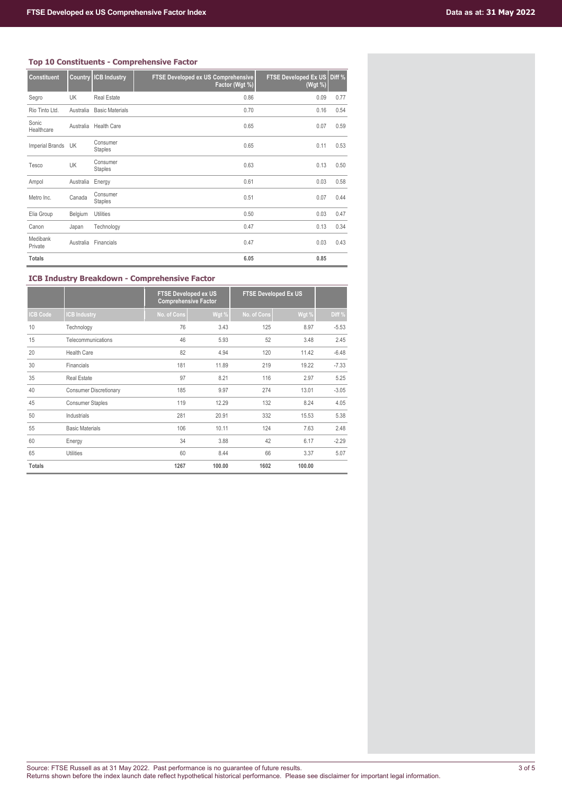# **Top 10 Constituents - Comprehensive Factor**

| <b>Constituent</b>  | Country   | <b>ICB Industry</b>        | FTSE Developed ex US Comprehensive<br>Factor (Wgt %) | FTSE Developed Ex US Diff %<br>(Wgt %) |      |
|---------------------|-----------|----------------------------|------------------------------------------------------|----------------------------------------|------|
| Segro               | UK        | <b>Real Estate</b>         | 0.86                                                 | 0.09                                   | 0.77 |
| Rio Tinto Ltd.      | Australia | <b>Basic Materials</b>     | 0.70                                                 | 0.16                                   | 0.54 |
| Sonic<br>Healthcare | Australia | <b>Health Care</b>         | 0.65                                                 | 0.07                                   | 0.59 |
| Imperial Brands UK  |           | Consumer<br><b>Staples</b> | 0.65                                                 | 0.11                                   | 0.53 |
| Tesco               | UK        | Consumer<br><b>Staples</b> | 0.63                                                 | 0.13                                   | 0.50 |
| Ampol               | Australia | Energy                     | 0.61                                                 | 0.03                                   | 0.58 |
| Metro Inc.          | Canada    | Consumer<br><b>Staples</b> | 0.51                                                 | 0.07                                   | 0.44 |
| Elia Group          | Belgium   | Utilities                  | 0.50                                                 | 0.03                                   | 0.47 |
| Canon               | Japan     | Technology                 | 0.47                                                 | 0.13                                   | 0.34 |
| Medibank<br>Private | Australia | Financials                 | 0.47                                                 | 0.03                                   | 0.43 |
| <b>Totals</b>       |           |                            | 6.05                                                 | 0.85                                   |      |

# **ICB Industry Breakdown - Comprehensive Factor**

|                 |                               | <b>FTSE Developed ex US</b><br><b>Comprehensive Factor</b> |        | <b>FTSE Developed Ex US</b> |        |         |
|-----------------|-------------------------------|------------------------------------------------------------|--------|-----------------------------|--------|---------|
| <b>ICB Code</b> | <b>CB Industry</b>            | No. of Cons                                                | Wgt %  | No. of Cons                 | Wgt %  | Diff %  |
| 10              | Technology                    | 76                                                         | 3.43   | 125                         | 8.97   | $-5.53$ |
| 15              | Telecommunications            | 46                                                         | 5.93   | 52                          | 3.48   | 2.45    |
| 20              | <b>Health Care</b>            | 82                                                         | 4.94   | 120                         | 11.42  | $-6.48$ |
| 30              | Financials                    | 181                                                        | 11.89  | 219                         | 19.22  | $-7.33$ |
| 35              | <b>Real Estate</b>            | 97                                                         | 8.21   | 116                         | 2.97   | 5.25    |
| 40              | <b>Consumer Discretionary</b> | 185                                                        | 9.97   | 274                         | 13.01  | $-3.05$ |
| 45              | <b>Consumer Staples</b>       | 119                                                        | 12.29  | 132                         | 8.24   | 4.05    |
| 50              | Industrials                   | 281                                                        | 20.91  | 332                         | 15.53  | 5.38    |
| 55              | <b>Basic Materials</b>        | 106                                                        | 10.11  | 124                         | 7.63   | 2.48    |
| 60              | Energy                        | 34                                                         | 3.88   | 42                          | 6.17   | $-2.29$ |
| 65              | <b>Utilities</b>              | 60                                                         | 8.44   | 66                          | 3.37   | 5.07    |
| <b>Totals</b>   |                               | 1267                                                       | 100.00 | 1602                        | 100.00 |         |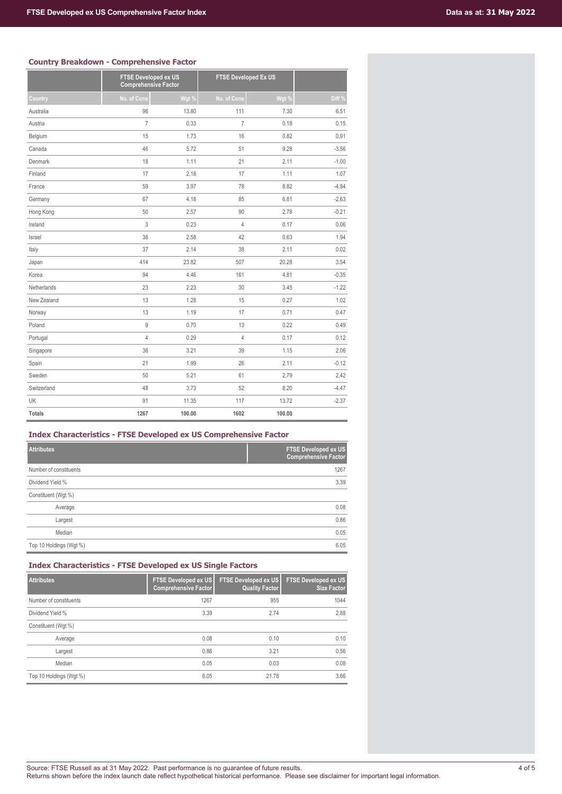# **Country Breakdown - Comprehensive Factor**

|               | <b>FTSE Developed ex US</b><br><b>Comprehensive Factor</b> |        |                | <b>FTSE Developed Ex US</b> |         |  |
|---------------|------------------------------------------------------------|--------|----------------|-----------------------------|---------|--|
| Country       | No. of Cons                                                | Wgt %  | No. of Cons    | Wgt %                       | Diff%   |  |
| Australia     | 96                                                         | 13.80  | 111            | 7.30                        | 6.51    |  |
| Austria       | $\overline{7}$                                             | 0.33   | $\overline{7}$ | 0.18                        | 0.15    |  |
| Belgium       | 15                                                         | 1.73   | 16             | 0.82                        | 0.91    |  |
| Canada        | 46                                                         | 5.72   | 51             | 9.28                        | $-3.56$ |  |
| Denmark       | 18                                                         | 1.11   | 21             | 2.11                        | $-1.00$ |  |
| Finland       | 17                                                         | 2.18   | 17             | 1.11                        | 1.07    |  |
| France        | 59                                                         | 3.97   | 78             | 8.82                        | $-4.84$ |  |
| Germany       | 67                                                         | 4.18   | 85             | 6.81                        | $-2.63$ |  |
| Hong Kong     | 50                                                         | 2.57   | 90             | 2.78                        | $-0.21$ |  |
| Ireland       | 3                                                          | 0.23   | $\overline{4}$ | 0.17                        | 0.06    |  |
| Israel        | 36                                                         | 2.58   | 42             | 0.63                        | 1.94    |  |
| Italy         | 37                                                         | 2.14   | 38             | 2.11                        | 0.02    |  |
| Japan         | 414                                                        | 23.82  | 507            | 20.28                       | 3.54    |  |
| Korea         | 94                                                         | 4.46   | 161            | 4.81                        | $-0.35$ |  |
| Netherlands   | 23                                                         | 2.23   | 30             | 3.45                        | $-1.22$ |  |
| New Zealand   | 13                                                         | 1.28   | 15             | 0.27                        | 1.02    |  |
| Norway        | 13                                                         | 1.19   | 17             | 0.71                        | 0.47    |  |
| Poland        | $\mathsf g$                                                | 0.70   | 13             | 0.22                        | 0.49    |  |
| Portugal      | $\overline{4}$                                             | 0.29   | $\overline{4}$ | 0.17                        | 0.12    |  |
| Singapore     | 36                                                         | 3.21   | 39             | 1.15                        | 2.06    |  |
| Spain         | 21                                                         | 1.99   | 26             | 2.11                        | $-0.12$ |  |
| Sweden        | 50                                                         | 5.21   | 61             | 2.79                        | 2.42    |  |
| Switzerland   | 48                                                         | 3.73   | 52             | 8.20                        | $-4.47$ |  |
| UK            | 91                                                         | 11.35  | 117            | 13.72                       | $-2.37$ |  |
| <b>Totals</b> | 1267                                                       | 100.00 | 1602           | 100.00                      |         |  |

# **Index Characteristics - FTSE Developed ex US Comprehensive Factor**

| <b>Attributes</b>       | <b>FTSE Developed ex US</b><br><b>Comprehensive Factor</b> |
|-------------------------|------------------------------------------------------------|
| Number of constituents  | 1267                                                       |
| Dividend Yield %        | 3.39                                                       |
| Constituent (Wgt %)     |                                                            |
| Average                 | 0.08                                                       |
| Largest                 | 0.86                                                       |
| Median                  | 0.05                                                       |
| Top 10 Holdings (Wgt %) | 6.05                                                       |

# **Index Characteristics - FTSE Developed ex US Single Factors**

| <b>Attributes</b>       | <b>FTSE Developed ex US</b><br><b>Comprehensive Factor</b> | <b>FTSE Developed ex US</b><br><b>Quality Factor</b> | <b>FTSE Developed ex US</b><br><b>Size Factor</b> |
|-------------------------|------------------------------------------------------------|------------------------------------------------------|---------------------------------------------------|
| Number of constituents  | 1267                                                       | 955                                                  | 1044                                              |
| Dividend Yield %        | 3.39                                                       | 2.74                                                 | 2.88                                              |
| Constituent (Wgt %)     |                                                            |                                                      |                                                   |
| Average                 | 0.08                                                       | 0.10                                                 | 0.10                                              |
| Largest                 | 0.86                                                       | 3.21                                                 | 0.56                                              |
| Median                  | 0.05                                                       | 0.03                                                 | 0.08                                              |
| Top 10 Holdings (Wgt %) | 6.05                                                       | 21.78                                                | 3.66                                              |